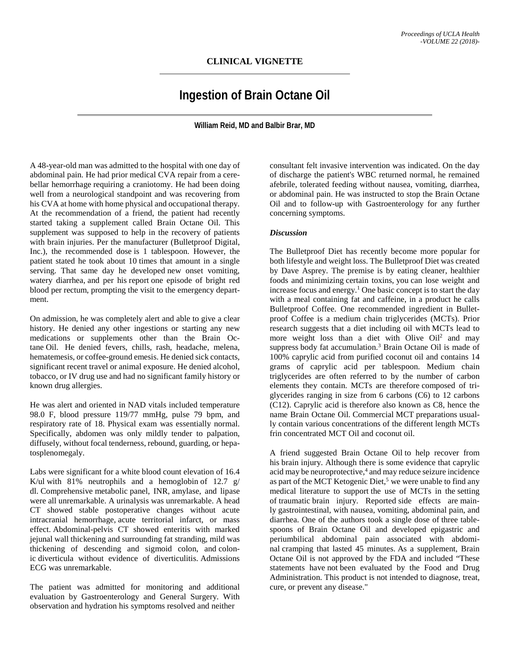## **CLINICAL VIGNETTE**

## **Ingestion of Brain Octane Oil**

**William Reid, MD and Balbir Brar, MD**

A 48-year-old man was admitted to the hospital with one day of abdominal pain. He had prior medical CVA repair from a cerebellar hemorrhage requiring a craniotomy. He had been doing well from a neurological standpoint and was recovering from his CVA at home with home physical and occupational therapy. At the recommendation of a friend, the patient had recently started taking a supplement called Brain Octane Oil. This supplement was supposed to help in the recovery of patients with brain injuries. Per the manufacturer (Bulletproof Digital, Inc.), the recommended dose is 1 tablespoon. However, the patient stated he took about 10 times that amount in a single serving. That same day he developed new onset vomiting, watery diarrhea, and per his report one episode of bright red blood per rectum, prompting the visit to the emergency department.

On admission, he was completely alert and able to give a clear history. He denied any other ingestions or starting any new medications or supplements other than the Brain Octane Oil. He denied fevers, chills, rash, headache, melena, hematemesis, or coffee-ground emesis. He denied sick contacts, significant recent travel or animal exposure. He denied alcohol, tobacco, or IV drug use and had no significant family history or known drug allergies.

He was alert and oriented in NAD vitals included temperature 98.0 F, blood pressure 119/77 mmHg, pulse 79 bpm, and respiratory rate of 18. Physical exam was essentially normal. Specifically, abdomen was only mildly tender to palpation, diffusely, without focal tenderness, rebound, guarding, or hepatosplenomegaly.

Labs were significant for a white blood count elevation of 16.4 K/ul with  $81\%$  neutrophils and a hemoglobin of 12.7 g/ dl. Comprehensive metabolic panel, INR, amylase, and lipase were all unremarkable. A urinalysis was unremarkable. A head CT showed stable postoperative changes without acute intracranial hemorrhage, acute territorial infarct, or mass effect. Abdominal-pelvis CT showed enteritis with marked jejunal wall thickening and surrounding fat stranding, mild was thickening of descending and sigmoid colon, and colonic diverticula without evidence of diverticulitis. Admissions ECG was unremarkable.

The patient was admitted for monitoring and additional evaluation by Gastroenterology and General Surgery. With observation and hydration his symptoms resolved and neither

consultant felt invasive intervention was indicated. On the day of discharge the patient's WBC returned normal, he remained afebrile, tolerated feeding without nausea, vomiting, diarrhea, or abdominal pain. He was instructed to stop the Brain Octane Oil and to follow-up with Gastroenterology for any further concerning symptoms.

## *Discussion*

The Bulletproof Diet has recently become more popular for both lifestyle and weight loss. The Bulletproof Diet was created by Dave Asprey. The premise is by eating cleaner, healthier foods and minimizing certain toxins, you can lose weight and increase focus and energy. <sup>1</sup> One basic concept is to start the day with a meal containing fat and caffeine, in a product he calls Bulletproof Coffee. One recommended ingredient in Bulletproof Coffee is a medium chain triglycerides (MCTs). Prior research suggests that a diet including oil with MCTs lead to more weight loss than a diet with Olive Oil<sup>2</sup> and may suppress body fat accumulation.<sup>3</sup> Brain Octane Oil is made of 100% caprylic acid from purified coconut oil and contains 14 grams of caprylic acid per tablespoon. Medium chain triglycerides are often referred to by the number of carbon elements they contain. MCTs are therefore composed of triglycerides ranging in size from 6 carbons (C6) to 12 carbons (C12). Caprylic acid is therefore also known as C8, hence the name Brain Octane Oil. Commercial MCT preparations usually contain various concentrations of the different length MCTs frin concentrated MCT Oil and coconut oil.

A friend suggested Brain Octane Oil to help recover from his brain injury. Although there is some evidence that caprylic acid may be neuroprotective, <sup>4</sup> and may reduce seizure incidence as part of the MCT Ketogenic Diet,<sup>5</sup> we were unable to find any medical literature to support the use of MCTs in the setting of traumatic brain injury. Reported side effects are mainly gastrointestinal, with nausea, vomiting, abdominal pain, and diarrhea. One of the authors took a single dose of three tablespoons of Brain Octane Oil and developed epigastric and periumbilical abdominal pain associated with abdominal cramping that lasted 45 minutes. As a supplement, Brain Octane Oil is not approved by the FDA and included "These statements have not been evaluated by the Food and Drug Administration. This product is not intended to diagnose, treat, cure, or prevent any disease."